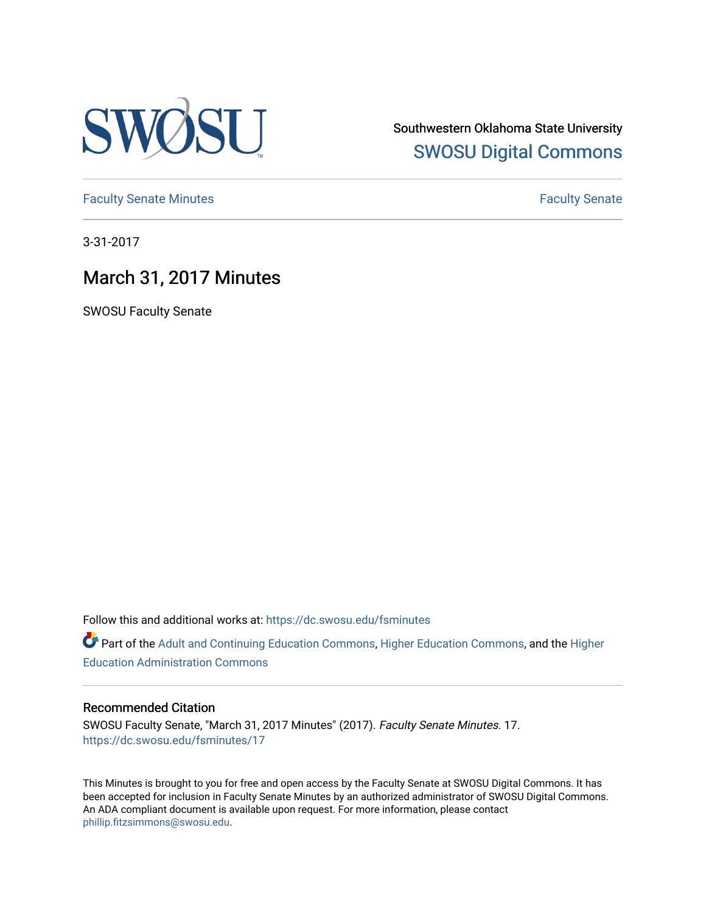

Southwestern Oklahoma State University [SWOSU Digital Commons](https://dc.swosu.edu/) 

[Faculty Senate Minutes](https://dc.swosu.edu/fsminutes) **Faculty** Senate Minutes

3-31-2017

## March 31, 2017 Minutes

SWOSU Faculty Senate

Follow this and additional works at: [https://dc.swosu.edu/fsminutes](https://dc.swosu.edu/fsminutes?utm_source=dc.swosu.edu%2Ffsminutes%2F17&utm_medium=PDF&utm_campaign=PDFCoverPages) 

Part of the [Adult and Continuing Education Commons,](http://network.bepress.com/hgg/discipline/1375?utm_source=dc.swosu.edu%2Ffsminutes%2F17&utm_medium=PDF&utm_campaign=PDFCoverPages) [Higher Education Commons,](http://network.bepress.com/hgg/discipline/1245?utm_source=dc.swosu.edu%2Ffsminutes%2F17&utm_medium=PDF&utm_campaign=PDFCoverPages) and the [Higher](http://network.bepress.com/hgg/discipline/791?utm_source=dc.swosu.edu%2Ffsminutes%2F17&utm_medium=PDF&utm_campaign=PDFCoverPages) [Education Administration Commons](http://network.bepress.com/hgg/discipline/791?utm_source=dc.swosu.edu%2Ffsminutes%2F17&utm_medium=PDF&utm_campaign=PDFCoverPages) 

#### Recommended Citation

SWOSU Faculty Senate, "March 31, 2017 Minutes" (2017). Faculty Senate Minutes. 17. [https://dc.swosu.edu/fsminutes/17](https://dc.swosu.edu/fsminutes/17?utm_source=dc.swosu.edu%2Ffsminutes%2F17&utm_medium=PDF&utm_campaign=PDFCoverPages) 

This Minutes is brought to you for free and open access by the Faculty Senate at SWOSU Digital Commons. It has been accepted for inclusion in Faculty Senate Minutes by an authorized administrator of SWOSU Digital Commons. An ADA compliant document is available upon request. For more information, please contact [phillip.fitzsimmons@swosu.edu](mailto:phillip.fitzsimmons@swosu.edu).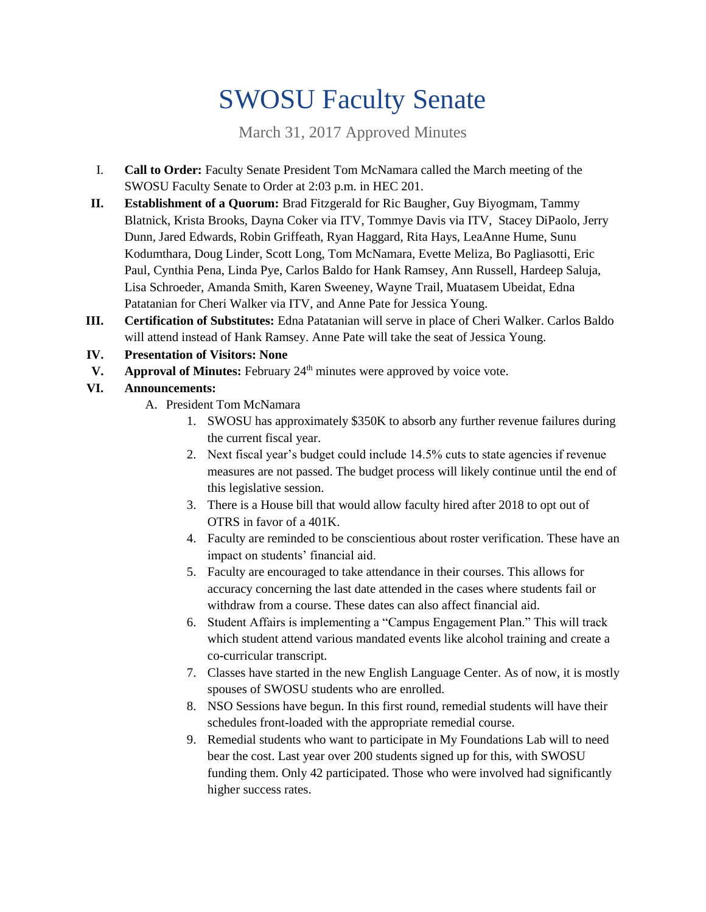# SWOSU Faculty Senate

March 31, 2017 Approved Minutes

- I. **Call to Order:** Faculty Senate President Tom McNamara called the March meeting of the SWOSU Faculty Senate to Order at 2:03 p.m. in HEC 201.
- **II. Establishment of a Quorum:** Brad Fitzgerald for Ric Baugher, Guy Biyogmam, Tammy Blatnick, Krista Brooks, Dayna Coker via ITV, Tommye Davis via ITV, Stacey DiPaolo, Jerry Dunn, Jared Edwards, Robin Griffeath, Ryan Haggard, Rita Hays, LeaAnne Hume, Sunu Kodumthara, Doug Linder, Scott Long, Tom McNamara, Evette Meliza, Bo Pagliasotti, Eric Paul, Cynthia Pena, Linda Pye, Carlos Baldo for Hank Ramsey, Ann Russell, Hardeep Saluja, Lisa Schroeder, Amanda Smith, Karen Sweeney, Wayne Trail, Muatasem Ubeidat, Edna Patatanian for Cheri Walker via ITV, and Anne Pate for Jessica Young.
- **III. Certification of Substitutes:** Edna Patatanian will serve in place of Cheri Walker. Carlos Baldo will attend instead of Hank Ramsey. Anne Pate will take the seat of Jessica Young.
- **IV. Presentation of Visitors: None**
- **V. Approval of Minutes:** February 24<sup>th</sup> minutes were approved by voice vote.

#### **VI. Announcements:**

- A. President Tom McNamara
	- 1. SWOSU has approximately \$350K to absorb any further revenue failures during the current fiscal year.
	- 2. Next fiscal year's budget could include 14.5% cuts to state agencies if revenue measures are not passed. The budget process will likely continue until the end of this legislative session.
	- 3. There is a House bill that would allow faculty hired after 2018 to opt out of OTRS in favor of a 401K.
	- 4. Faculty are reminded to be conscientious about roster verification. These have an impact on students' financial aid.
	- 5. Faculty are encouraged to take attendance in their courses. This allows for accuracy concerning the last date attended in the cases where students fail or withdraw from a course. These dates can also affect financial aid.
	- 6. Student Affairs is implementing a "Campus Engagement Plan." This will track which student attend various mandated events like alcohol training and create a co-curricular transcript.
	- 7. Classes have started in the new English Language Center. As of now, it is mostly spouses of SWOSU students who are enrolled.
	- 8. NSO Sessions have begun. In this first round, remedial students will have their schedules front-loaded with the appropriate remedial course.
	- 9. Remedial students who want to participate in My Foundations Lab will to need bear the cost. Last year over 200 students signed up for this, with SWOSU funding them. Only 42 participated. Those who were involved had significantly higher success rates.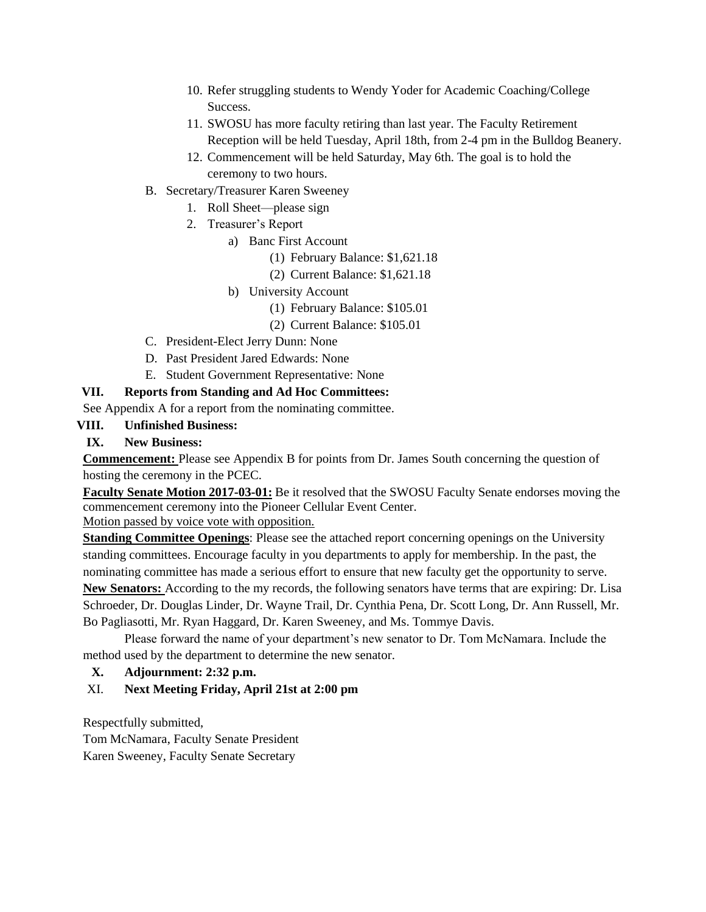- 10. Refer struggling students to Wendy Yoder for Academic Coaching/College Success.
- 11. SWOSU has more faculty retiring than last year. The Faculty Retirement Reception will be held Tuesday, April 18th, from 2-4 pm in the Bulldog Beanery.
- 12. Commencement will be held Saturday, May 6th. The goal is to hold the ceremony to two hours.
- B. Secretary/Treasurer Karen Sweeney
	- 1. Roll Sheet—please sign
	- 2. Treasurer's Report
		- a) Banc First Account
			- (1) February Balance: \$1,621.18
			- (2) Current Balance: \$1,621.18
		- b) University Account
			- (1) February Balance: \$105.01
			- (2) Current Balance: \$105.01
- C. President-Elect Jerry Dunn: None
- D. Past President Jared Edwards: None
- E. Student Government Representative: None

#### **VII. Reports from Standing and Ad Hoc Committees:**

See Appendix A for a report from the nominating committee.

#### **VIII. Unfinished Business:**

**IX. New Business:**

**Commencement:** Please see Appendix B for points from Dr. James South concerning the question of hosting the ceremony in the PCEC.

**Faculty Senate Motion 2017-03-01:** Be it resolved that the SWOSU Faculty Senate endorses moving the commencement ceremony into the Pioneer Cellular Event Center.

Motion passed by voice vote with opposition.

**Standing Committee Openings**: Please see the attached report concerning openings on the University standing committees. Encourage faculty in you departments to apply for membership. In the past, the nominating committee has made a serious effort to ensure that new faculty get the opportunity to serve. **New Senators:** According to the my records, the following senators have terms that are expiring: Dr. Lisa

Schroeder, Dr. Douglas Linder, Dr. Wayne Trail, Dr. Cynthia Pena, Dr. Scott Long, Dr. Ann Russell, Mr. Bo Pagliasotti, Mr. Ryan Haggard, Dr. Karen Sweeney, and Ms. Tommye Davis.

Please forward the name of your department's new senator to Dr. Tom McNamara. Include the method used by the department to determine the new senator.

#### **X. Adjournment: 2:32 p.m.**

#### XI. **Next Meeting Friday, April 21st at 2:00 pm**

Respectfully submitted,

Tom McNamara, Faculty Senate President

Karen Sweeney, Faculty Senate Secretary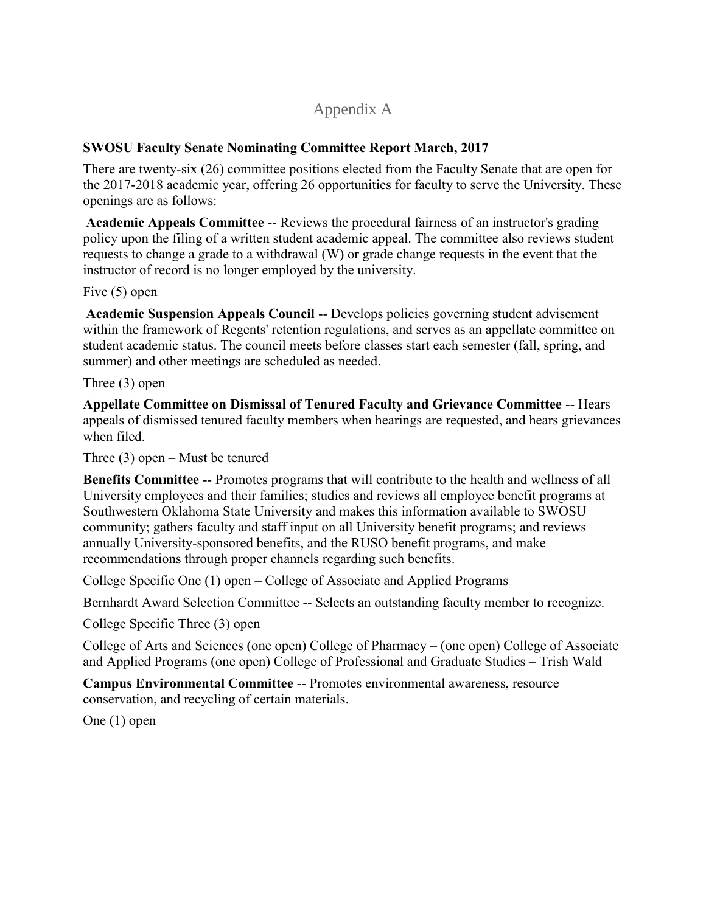## Appendix A

#### **SWOSU Faculty Senate Nominating Committee Report March, 2017**

There are twenty-six (26) committee positions elected from the Faculty Senate that are open for the 2017-2018 academic year, offering 26 opportunities for faculty to serve the University. These openings are as follows:

**Academic Appeals Committee** -- Reviews the procedural fairness of an instructor's grading policy upon the filing of a written student academic appeal. The committee also reviews student requests to change a grade to a withdrawal (W) or grade change requests in the event that the instructor of record is no longer employed by the university.

Five (5) open

**Academic Suspension Appeals Council** -- Develops policies governing student advisement within the framework of Regents' retention regulations, and serves as an appellate committee on student academic status. The council meets before classes start each semester (fall, spring, and summer) and other meetings are scheduled as needed.

Three (3) open

**Appellate Committee on Dismissal of Tenured Faculty and Grievance Committee** -- Hears appeals of dismissed tenured faculty members when hearings are requested, and hears grievances when filed.

Three (3) open – Must be tenured

**Benefits Committee** -- Promotes programs that will contribute to the health and wellness of all University employees and their families; studies and reviews all employee benefit programs at Southwestern Oklahoma State University and makes this information available to SWOSU community; gathers faculty and staff input on all University benefit programs; and reviews annually University-sponsored benefits, and the RUSO benefit programs, and make recommendations through proper channels regarding such benefits.

College Specific One (1) open – College of Associate and Applied Programs

Bernhardt Award Selection Committee -- Selects an outstanding faculty member to recognize.

College Specific Three (3) open

College of Arts and Sciences (one open) College of Pharmacy – (one open) College of Associate and Applied Programs (one open) College of Professional and Graduate Studies – Trish Wald

**Campus Environmental Committee** -- Promotes environmental awareness, resource conservation, and recycling of certain materials.

One (1) open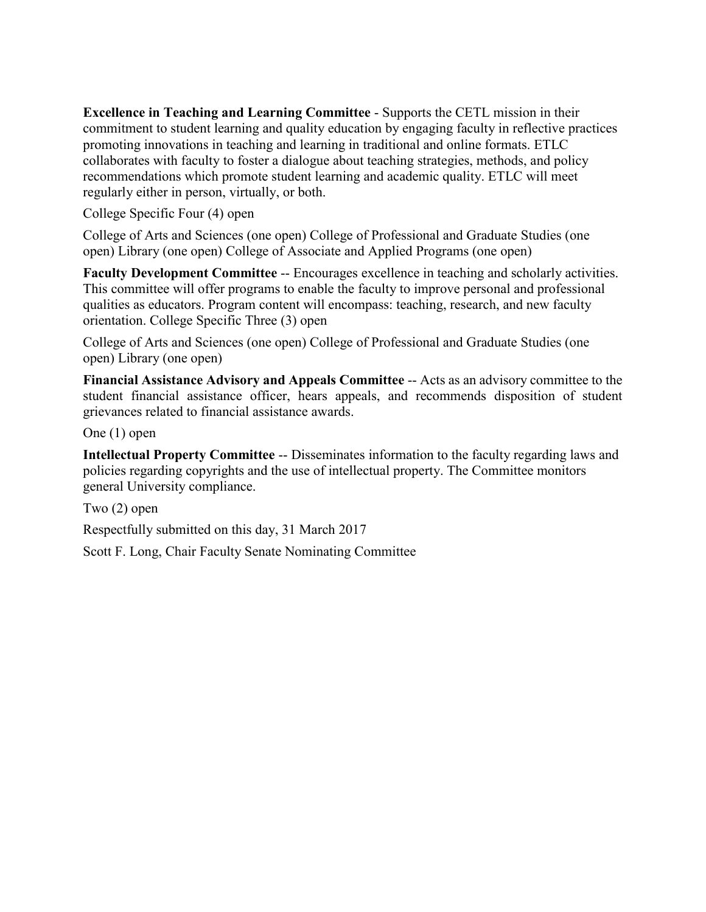**Excellence in Teaching and Learning Committee** - Supports the CETL mission in their commitment to student learning and quality education by engaging faculty in reflective practices promoting innovations in teaching and learning in traditional and online formats. ETLC collaborates with faculty to foster a dialogue about teaching strategies, methods, and policy recommendations which promote student learning and academic quality. ETLC will meet regularly either in person, virtually, or both.

College Specific Four (4) open

College of Arts and Sciences (one open) College of Professional and Graduate Studies (one open) Library (one open) College of Associate and Applied Programs (one open)

**Faculty Development Committee** -- Encourages excellence in teaching and scholarly activities. This committee will offer programs to enable the faculty to improve personal and professional qualities as educators. Program content will encompass: teaching, research, and new faculty orientation. College Specific Three (3) open

College of Arts and Sciences (one open) College of Professional and Graduate Studies (one open) Library (one open)

**Financial Assistance Advisory and Appeals Committee** -- Acts as an advisory committee to the student financial assistance officer, hears appeals, and recommends disposition of student grievances related to financial assistance awards.

One (1) open

**Intellectual Property Committee** -- Disseminates information to the faculty regarding laws and policies regarding copyrights and the use of intellectual property. The Committee monitors general University compliance.

Two (2) open

Respectfully submitted on this day, 31 March 2017

Scott F. Long, Chair Faculty Senate Nominating Committee